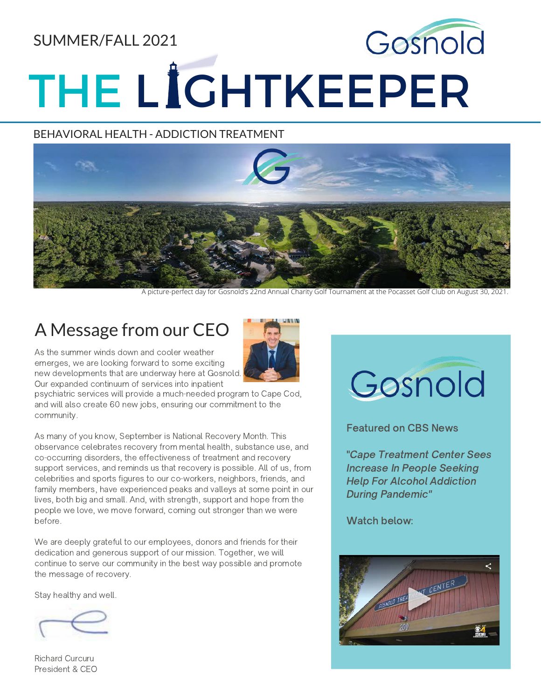SUMMER/FALL 2021

# Gosnold THE LICHTKEEPER

#### BEHAVIORAL HEALTH - ADDICTION TREATMENT



A picture-perfect day for Gosnold's 22nd Annual Charity Golf Tournament at the Pocasset Golf Club on August 30, 2021.

# A Message from our CEO

As the summer winds down and cooler weather emerges, we are looking forward to some exciting new developments that are underway here at Gosnold. Our expanded continuum of services into inpatient



psychiatric services will provide a much-needed program to Cape Cod, and will also create 60 new jobs, ensuring our commitment to the community.

As many of you know, September is National Recovery Month. This observance celebrates recovery from mental health, substance use, and co-occurring disorders, the effectiveness of treatment and recovery support services, and reminds us that recovery is possible. All of us, from celebrities and sports figures to our co-workers, neighbors, friends, and family members, have experienced peaks and valleys at some point in our lives, both big and small. And, with strength, support and hope from the people we love, we move forward, coming out stronger than we were before.

We are deeply grateful to our employees, donors and friends for their dedication and generous support of our mission. Together, we will continue to serve our community in the best way possible and promote the message of recovery.

Stay healthy and well.



Richard Curcuru President & CEO



Featured on CBS News

"Cape Treatment Center Sees Increase In People Seeking Help For Alcohol Addiction During Pandemic"

Watch below:

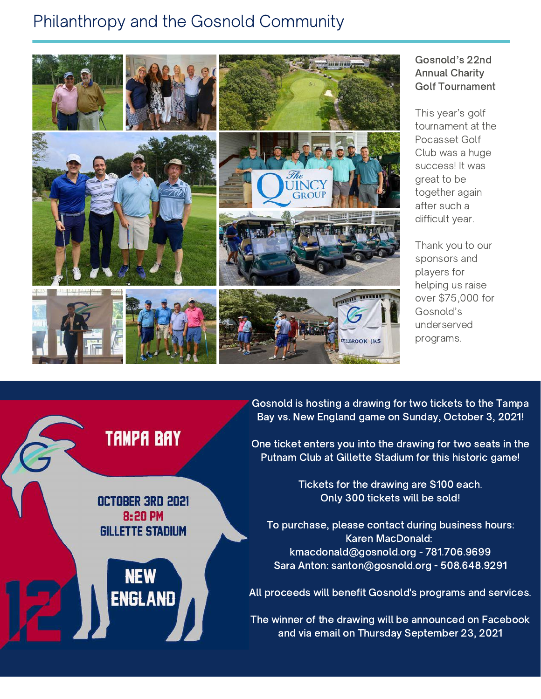### Philanthropy and the Gosnold Community



#### Gosnold's 22nd Annual Charity Golf Tournament

This year's golf tournament at the Pocasset Golf Club was a huge success! It was great to be together again after such a difficult year.

Thank you to our sponsors and players for helping us raise over \$75,000 for Gosnold's underserved programs.

Gosnold is hosting a drawing for two tickets to the Tampa Bay vs. New England game on Sunday, October 3, 2021!

One ticket enters you into the drawing for two seats in the Putnam Club at Gillette Stadium for this historic game!

> Tickets for the drawing are \$100 each. Only 300 tickets will be sold!

To purchase, please contact during business hours: Karen MacDonald: kmacdonald@gosnold.org - 781.706.9699 Sara Anton: santon@gosnold.org - 508.648.9291

All proceeds will benefit Gosnold's programs and services.

The winner of the drawing will be announced on Facebook and via email on Thursday September 23, 2021

## **TAMPA BAY**

OCTOBER 3RD 2021 8:20 PM **GILLETTE STADIUM** 

**NEW** 

**ENGLAND**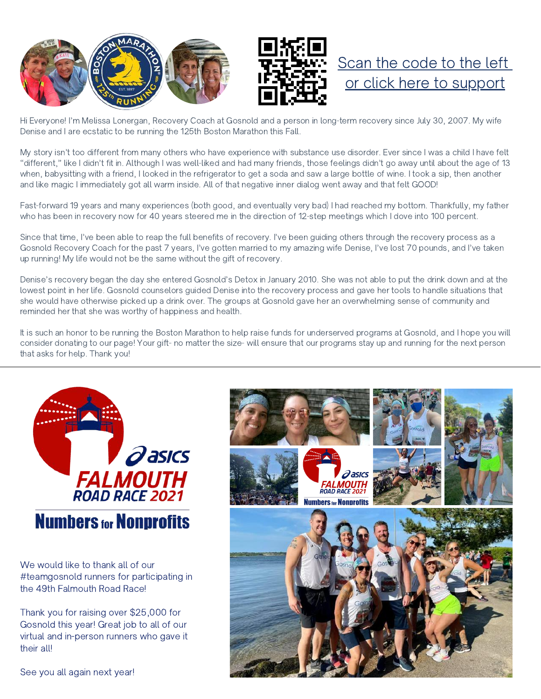



## [Scan the code to the left](https://www.gofundme.com/f/melissa-and-denises-run-towards-recovery) [or click here to support](https://www.gofundme.com/f/melissa-and-denises-run-towards-recovery)

Hi Everyone! I'm Melissa Lonergan, Recovery Coach at Gosnold and a person in long-term recovery since July 30, 2007. My wife Denise and I are ecstatic to be running the 125th Boston Marathon this Fall.

My story isn't too different from many others who have experience with substance use disorder. Ever since I was a child I have felt "different," like I didn't fit in. Although I was well-liked and had many friends, those feelings didn't go away until about the age of 13 when, babysitting with a friend, I looked in the refrigerator to get a soda and saw a large bottle of wine. I took a sip, then another and like magic I immediately got all warm inside. All of that negative inner dialog went away and that felt GOOD!

Fast-forward 19 years and many experiences (both good, and eventually very bad) I had reached my bottom. Thankfully, my father who has been in recovery now for 40 years steered me in the direction of 12-step meetings which I dove into 100 percent.

Since that time, I've been able to reap the full benefits of recovery. I've been guiding others through the recovery process as a Gosnold Recovery Coach for the past 7 years, I've gotten married to my amazing wife Denise, I've lost 70 pounds, and I've taken up running! My life would not be the same without the gift of recovery.

Denise's recovery began the day she entered Gosnold's Detox in January 2010. She was not able to put the drink down and at the lowest point in her life. Gosnold counselors guided Denise into the recovery process and gave her tools to handle situations that she would have otherwise picked up a drink over. The groups at Gosnold gave her an overwhelming sense of community and reminded her that she was worthy of happiness and health.

It is such an honor to be running the Boston Marathon to help raise funds for underserved programs at Gosnold, and I hope you will consider donating to our page! Your gift- no matter the size- will ensure that our programs stay up and running for the next person that asks for help. Thank you!



We would like to thank all of our [#teamgosnold](https://www.facebook.com/hashtag/teamgosnold?__eep__=6&__cft__[0]=AZXN1HhsZxBzKXn96QDBC8ucMhxs6Vigr3WmjtcMdKDeN4kyW0qylXOoM-xpGA5IjN5sG1rbJv4UdrrOiSArD8RfipeFlFprPtvatSUL6LWiPOnqd197FnyhtDmJuUailXGAaDwFh99GHXtv4m_n0ta1dzd4I0uhpgPvCsw7S46DV0QRKRNOhiptlo0tixeWs3E&__tn__=*NK-R) runners for participating in the 49th Falmouth Road Race!

Thank you for raising over \$25,000 for Gosnold this year! Great job to all of our virtual and in-person runners who gave it their all!



See you all again next year!